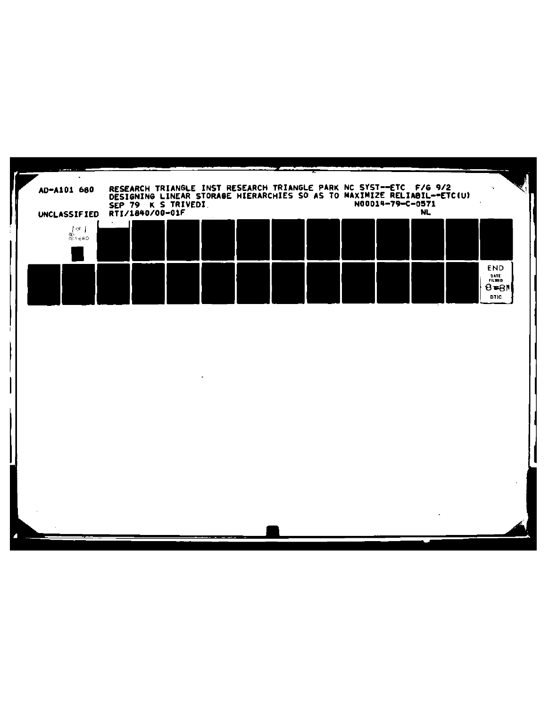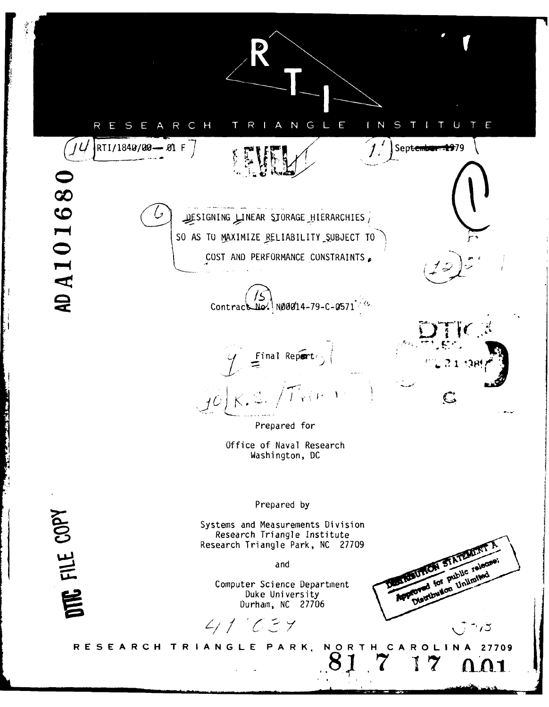ANGLE  $\mathsf{S}$ ARCH N T E R H. R S E. RTI/1840/00-01 F September 1979 AD A10168 , NEAR STORAGE HIERARCHIES سيل DESIGNING SO AS TO MAXIMIZE RELIABILITY SUBJECT TO COST AND PERFORMANCE CONSTRAINTS Contract No. 1900/14-79-C-0571  $\mathbf{E}$  Final Report  $\mathbf{E}$  $\mathbb{C}$ Prepared for Office of Naval Research Washington, DC FILE COPY Prepared by Systems and Measurements Division Research Triangle Institute Research Triangle Park, NC 27709 STATEM! **Public release UTION** and Unlimite fored for Computer Science Department E **Distribution** Duke University Durham, NC 27706  $4117777$ J RESEARCH TRIANGLE PARK, NORTH CAROLINA 27709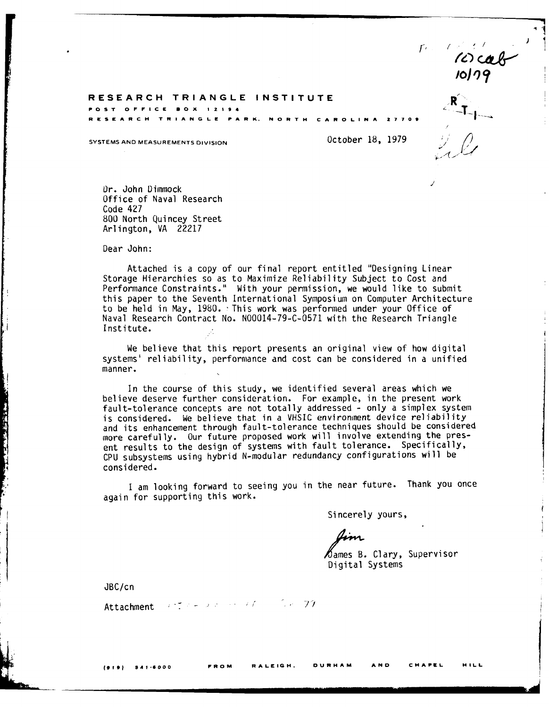$\Gamma$ .  $10179$ 

#### **RESEARCH TRIANGLE INSTITUTE R POST OFFICE BOX 12194**

**RESEARCH TRIANGLE PARK. NORTH CAROLINA 27700**

**SYSTEMS AND MEASUREMENTS DIVISION CONSUMING STATE SETS** 0.1979

Dr. John Dimmock Office of Naval Research Code 427 800 North Quincey Street Arlington, VA 22217

Dear John:

Attached is a copy of our final report entitled "Designing Linear Storage Hierarchies so as to Maximize Reliability Subject to Cost and Performance Constraints." With your permission, we would like to submit this paper to the Seventh International Symposium on Computer Architecture to be held in May, 1980. This work was performed under your Office of Naval Research Contract No. N00014-79-C-0571 with the Research Triangle Institute.

We believe that this report presents an original view of how digital systems' reliability, performance and cost can be considered in a unified manner.

In the course of this study, we identified several areas which we believe deserve further consideration. For example, in the present work fault-tolerance concepts are not totally addressed - only a simplex system is considered. We believe that in a VHSIC environment device reliability and its enhancement through fault-tolerance techniques should be considered more carefully. Our future proposed work will involve extending the present results to the design of systems with fault tolerance. Specifically, CPU subsystems using hybrid N-modular redundancy configurations will be considered.

I am looking forward to seeing you in the near future. Thank you once again for supporting this work.

Sincerely yours,

Aim.

 $\beta$ ames B. Clary, Supervisor Digital Systems

JBC/cn

**THE REAL PROPERTY AND INCOME.** 

Attachment **And American Advisor Advisor**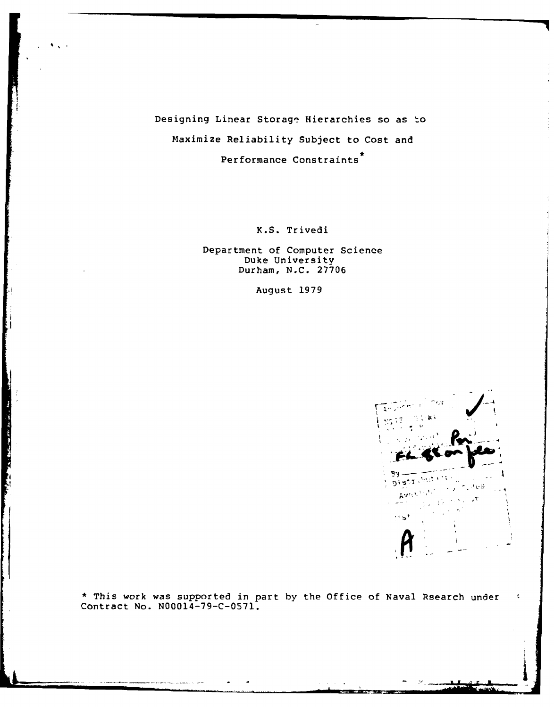Designing Linear Storage Hierarchies so as to Maximize Reliability Subject to Cost and **\*** Performance Constraints

K.S. Trivedi

Department of Computer Science Duke University Durham, **N.C. 27706**

August **1979**



**i**

**•** This work was supported in part **by** the Office of Naval Rsearch under Contract No. **N00014-79-C-0571.**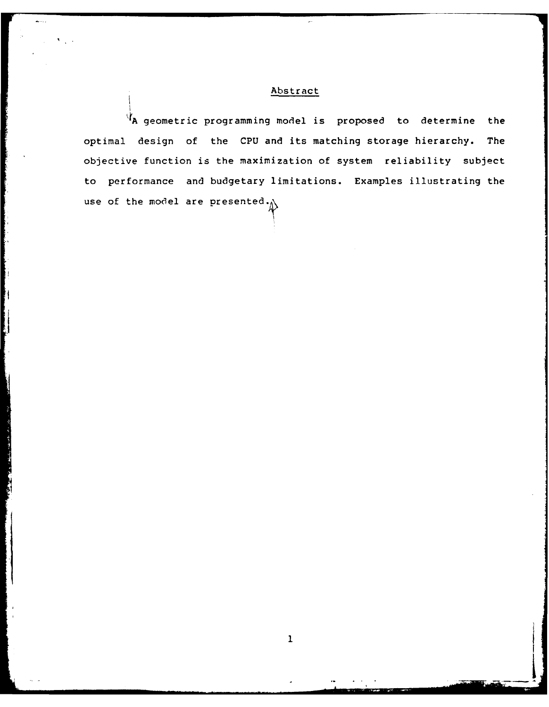# Abstract

**A** geometric programming model is proposed to determine the optimal design of the CPU and its matching storage hierarchy. The objective function is the maximization of system reliability subject to performance and budgetary limitations. Examples illustrating the use of the model are presented.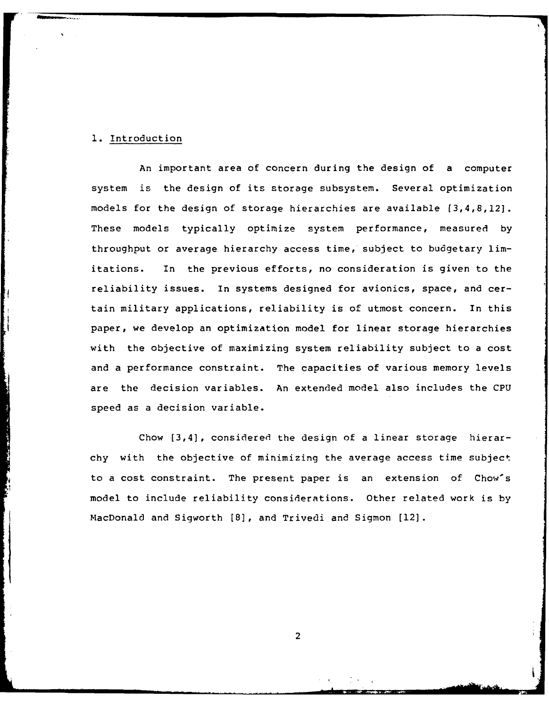## **1.** Introduction

An important area of concern during the design of a computer system is the design of its storage subsystem. Several optimization models for the design of storage hierarchies are available [3,4,8,121. These models typically optimize system performance, measured by throughput or average hierarchy access time, subject to budgetary limitations. In the previous efforts, no consideration is given to the reliability issues. In systems designed for avionics, space, and certain military applications, reliability is of utmost concern. In this paper, we develop an optimization model for linear storage hierarchies with the objective of maximizing system reliability subject to a cost and a performance constraint. The capacities of various memory levels are the decision variables. An extended model also includes the CPU speed as a decision variable.

Chow [3,4], considered the design of a linear storage hierarchy with the objective of minimizing the average access time subject to a cost constraint. The present paper is an extension of Chow's model to include reliability considerations. Other related work is by MacDonald and Sigworth [8], and Trivedi and Sigmon [121.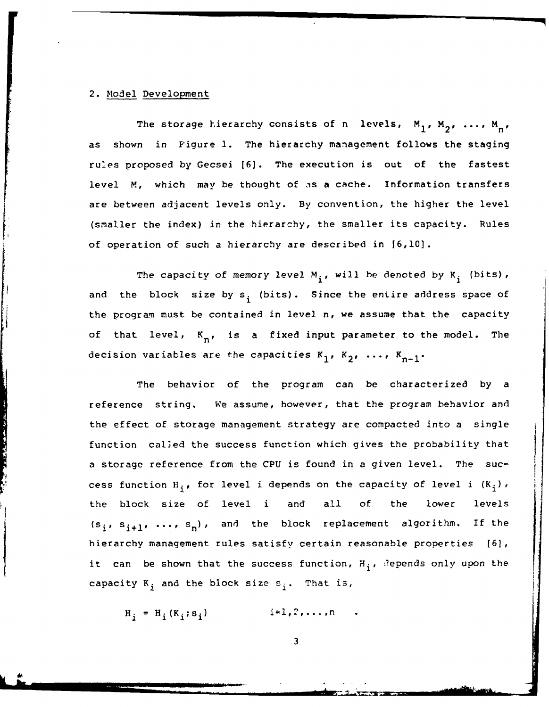#### 2. Model Development

*44*

The storage hierarchy consists of n levels,  $M_1, M_2, \ldots, M_n$ as shown in Figure **1.** The hierarchy management follows the staging ru'es proposed by Gecsei [6]. The execution is out of the fastest level M, which may be thought of as a cache. Information transfers are between adjacent levels only. By convention, the higher the level (smaller the index) in the hierarchy, the smaller its capacity. Rules of operation of such a hierarchy are described in [6,10].

The capacity of memory level  $M_i$ , will be denoted by  $K_i$  (bits), and the block size by  $s_i$  (bits). Since the entire address space of the program must be contained in level n, we assume that the capacity of that level,  $K_{n}$ , is a fixed input parameter to the model. The decision variables are the capacities  $K_1$ ,  $K_2$ , ...,  $K_{n-1}$ .

The behavior of the program can be characterized by a reference string. We assume, however, that the program behavior and the effect of storage management strategy are compacted into a single function called the success function which gives the probability that a storage reference from the CPU is found in a given level. The success function H<sub>i</sub>, for level i depends on the capacity of level i  $(K_i)$ , the block size of level i and all of the lower levels  $(s_i, s_{i+1}, ..., s_n)$ , and the block replacement algorithm. If the hierarchy management rules satisfy certain reasonable properties [6], it can be shown that the success function,  $H_{\frac{1}{2}}$ , 3epends only upon the capacity  $K_j$  and the block size  $s_j$ . That is,

 $H_i = H_i(K_i; s_i)$   $i=1,2,...,n$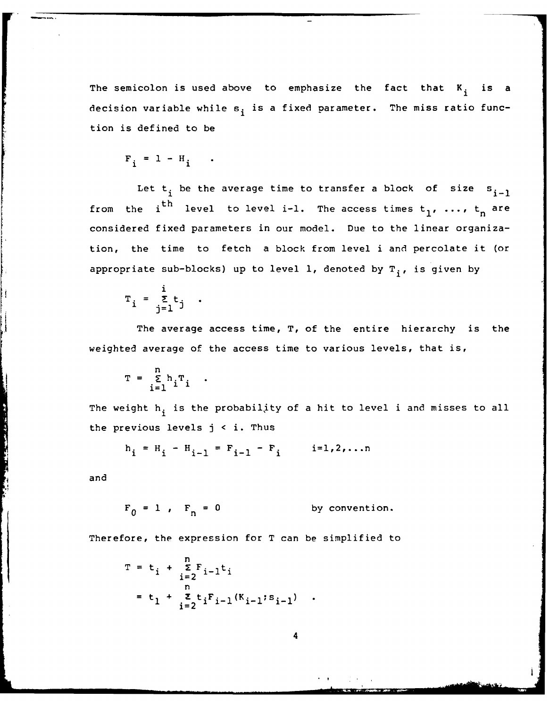The semicolon is used above to emphasize the fact that  $K_i$  is a decision variable while  $s_i$  is a fixed parameter. The miss ratio function is defined to be

$$
F_i = 1 - H_i
$$

Let  $t_i$  be the average time to transfer a block of size  $s_{i-1}$  $\overline{h}$ from the i  $\cdots$  level to level i-l. The access times  $\mathsf{t}_{\mathsf{1}}$ , ...,  $\mathsf{t}_{\mathsf{n}}$  are considered fixed parameters in our model. Due to the linear organization, the time to fetch a block from level i and percolate it (or appropriate sub-blocks) up to level 1, denoted by T<sub>i</sub>, is given by

$$
T_i = \sum_{j=1}^i t_j.
$$

The average access time, T, of the entire hierarchy is the weighted average of the access time to various levels, that is,

$$
T = \sum_{i=1}^{n} h_i T_i
$$

The weight h<sub>i</sub> is the probability of a hit to level i and misses to all the previous levels j **<** i. Thus

$$
h_i = H_i - H_{i-1} = F_{i-1} - F_i
$$
  $i=1,2,...n$ 

and

 $\frac{1}{2}$ 

$$
F_0 = 1
$$
,  $F_n = 0$  by convention.

Therefore, the expression for T can be simplified to

$$
T = t_{i} + \sum_{i=2}^{n} F_{i-1}t_{i}
$$
  
= t\_{1} + \sum\_{i=2}^{n} t\_{i}F\_{i-1}(K\_{i-1}; s\_{i-1})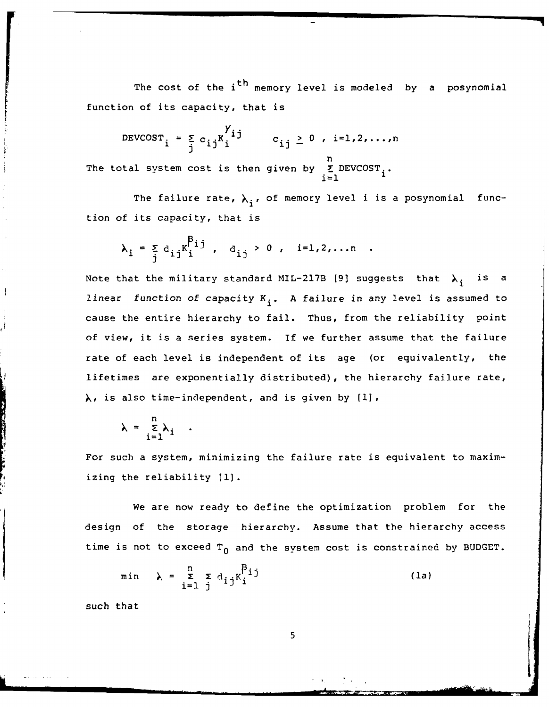The cost of the i<sup>th</sup> memory level is modeled by a posynomial function of its capacity, that is

$$
DEVCOST_i = \sum_{j}^{y} c_{ij}K_i^{ij} \qquad c_{ij} \geq 0, i=1,2,...,n
$$

n The total system cost is then given by **E** DEVCOST<sub>i</sub>.

The failure rate,  $\lambda_i$ , of memory level i is a posynomial function of its capacity, that is

$$
\lambda_{i} = \sum_{j} d_{ij} K_{i}^{\beta_{ij}}, \quad d_{ij} > 0, \quad i=1,2,...n.
$$

Note that the military standard MIL-217B [9] suggests that  $\lambda_i$  is a linear function of capacity  $K_i$ . A failure in any level is assumed to cause the entire hierarchy to fail. Thus, from the reliability point of view, it is a series system. If we further assume that the failure rate of each level is independent of its age (or equivalently, the lifetimes are exponentially distributed), the hierarchy failure rate, >, is also time-independent, and is given by **(1],**

$$
\lambda = \frac{\sum_{i=1}^{n} \lambda_i}{\sum_{i=1}^{n} \lambda_i}
$$

For such a system, minimizing the failure rate is equivalent to maximizing the reliability **[1].**

We are now ready to define the optimization problem for the design of the storage hierarchy. Assume that the hierarchy access time is not to exceed  $T_0$  and the system cost is constrained by BUDGET.

$$
\min \quad \lambda = \sum_{i=1}^{n} \sum_{j} d_{ij} K_i^{\beta_{ij}} \tag{1a}
$$

such that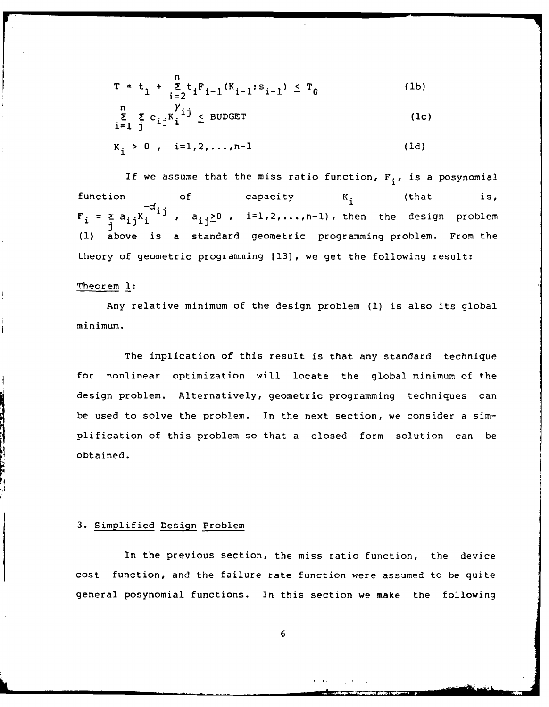$$
T = t_1 + \sum_{i=2}^{n} t_i F_{i-1} (K_{i-1}; s_{i-1}) \le T_0
$$
 (1b)  

$$
\sum_{i=1}^{n} \sum_{j} c_{ij} K_i^{j} j \le BUDGET
$$
 (1c)

 $K_i > 0$ ,  $i=1,2,...,n-1$  (1d)

If we assume that the miss ratio function,  $F_i$ , is a posynomial function of capacity K<sub>;</sub> (that is, F. **F1 <sup>=</sup>Za** - **1)** i Ki **1 1]** ' ai **j-** >0 i=,2,...,n-l), ,. then the design problem  $F_i = \sum_i a_{ij}K_i$ (1) above is a standard geometric programming problem. From the theory of geometric programming [13], we get the following result:

#### Theorem **1:**

Any relative minimum of the design problem **(1)** is also its global minimum.

The implication of this result is that any standard technique for nonlinear optimization will locate the global minimum of the design problem. Alternatively, geometric programming techniques can be used to solve the problem. In the next section, we consider a simplification of this problem so that a closed form solution can be obtained.

#### 3. Simplified Design Problem

In the previous section, the miss ratio function, the device cost function, and the failure rate function were assumed to be quite general posynomial functions. In this section we make the following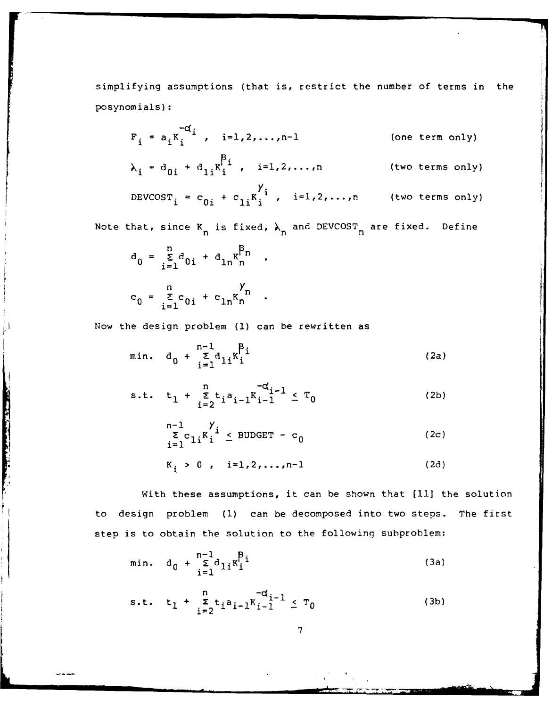simplifying assumptions (that is, restrict the number of terms in the posynomials):

$$
F_{i} = a_{i}K_{i}^{-d_{i}}, \quad i=1,2,\ldots,n-1
$$
 (one term only)

 $i = d_{0i} + d_{1i}K'_i$ ,  $i=1,2,...,n$  (two terms only) **i**

$$
DEVCOST_i = c_{0i} + c_{1i}K_i^{\gamma_i}, \quad i=1,2,\ldots,n \qquad \text{(two terms only)}
$$

Note that, since  $K_n$  is fixed,  $\lambda_n$  and DEVCOST<sub>n</sub> are fixed. Define

$$
a_0 = \sum_{i=1}^{n} d_{0i} + d_{1n} K_n^{\beta_n} ,
$$
  

$$
c_0 = \sum_{i=1}^{n} c_{0i} + c_{1n} K_n^{\gamma_n} .
$$

The first property of the company of

Now the design problem **(1)** can be rewritten as

min. 
$$
d_0 + \sum_{i=1}^{n-1} d_{1i} K_i^{\beta_i}
$$
 (2a)

s.t. 
$$
t_1 + \sum_{i=2}^{n} t_i a_{i-1} K_{i-1}^{-d} \leq T_0
$$
 (2b)

$$
\begin{array}{ccc}\nn-1 & y \\
\hline\n\sum_{i=1}^{n} c_{1i} K_i & \leq \text{BUDGET} - c_0 \\
K_i & > 0, \quad i = 1, 2, \dots, n-1\n\end{array}\n\tag{2c}
$$

With these assumptions, it can be shown that [11] the solution to design problem **(1)** can be decomposed into two steps. The first step is to obtain the solution to the following subproblem:

min. 
$$
d_0 + \sum_{i=1}^{n-1} d_{1i} K_i^{p_i}
$$
 (3a)

s.t. 
$$
t_1 + \sum_{i=2}^{n} t_i a_{i-1} K_{i-1}^{-d} \leq T_0
$$
 (3b)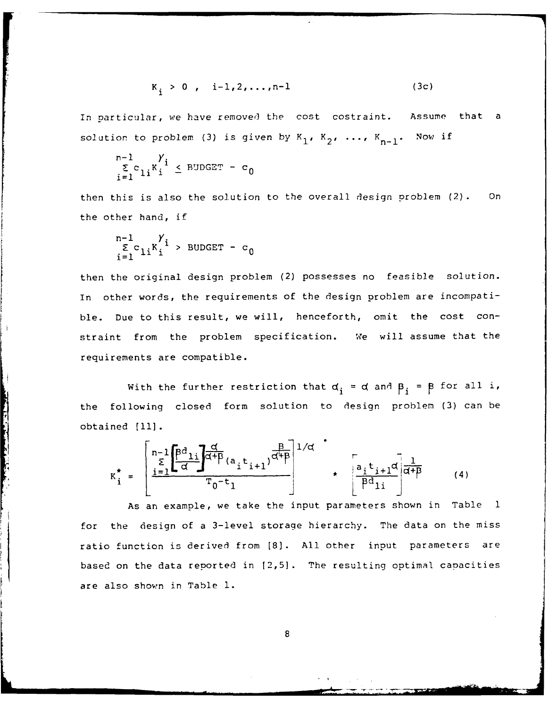$$
K_i > 0
$$
, i-1,2,...,n-1 (3c)

In particular, we have removed the cost costraint. Assume that a solution to problem (3) is given by  $K_1$ ,  $K_2$ , ...,  $K_{n-1}$ . Now if

$$
\frac{\sum_{i=1}^{n-1} y_i}{\sum_{i=1}^{n} y_i} \le \text{BUDGET} - c_0
$$

then this is also the solution to the overall design problem (2). On the other hand, if

$$
\begin{array}{c}\n n-1 & \gamma \\
 \sum_{i=1}^{n} c_{1i} K_i^i \end{array} > \text{BUDGET} - c_0
$$

and the second control

then the original design problem (2) possesses no feasible solution. In other words, the requirements of the design problem are incompatible. Due to this result, we will, henceforth, omit the cost constraint from the problem specification. We will assume that the requirements are compatible.

With the further restriction that  $d_i = d$  and  $\beta_i = \beta$  for all i, the following closed form solution to design problem (3) can be obtained **[111.**

$$
K_{i}^{\star} = \begin{bmatrix} n-1 & \beta d & \beta d \\ \frac{1}{2} & \frac{1}{2} & \frac{d}{2} \\ \frac{1}{2} & \frac{1}{2} & \frac{1}{2} \end{bmatrix} \frac{d^{2}}{d^{2} + \beta} (a_{i}t_{i+1}) \frac{B}{d^{2} + \beta} \begin{bmatrix} 1/d & \beta & \beta d \\ \frac{1}{2} & \frac{1}{2} & \frac{1}{2} \\ \frac{1}{2} & \frac{1}{2} & \frac{1}{2} \end{bmatrix} (4)
$$

As an example, we take the input parameters shown in Table **1** for the design of a 3-level storage hierarchy. The data on the miss ratio function is derived from [8]. All other input parameters are based on the data reported in 12,5]. The resulting optimal capacities *are* also shown in Table **1.**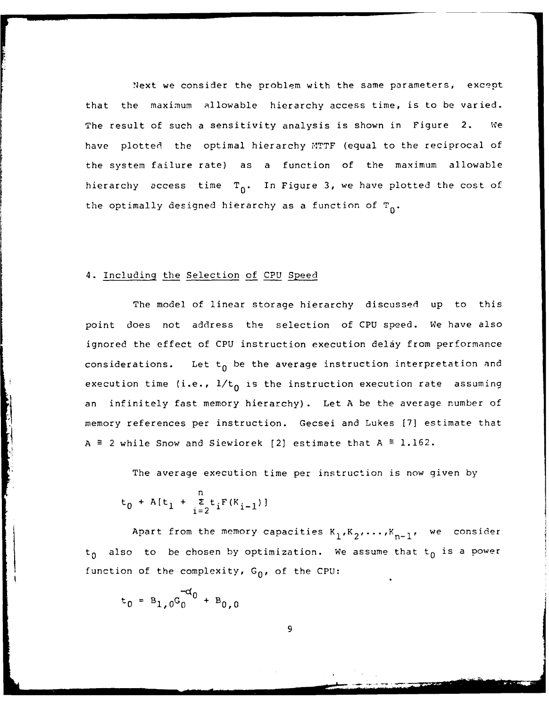Next we consider the problem with the same parameters, except that the maximum allowable hierarchy access time, is to be varied. The result of such a sensitivity analysis is shown in Figure 2. We have plotted the optimal hierarchy MTTF (equal to the reciprocal of the system failure rate) as a function of the maximum allowable hierarchy access time  $T_0$ . In Figure 3, we have plotted the cost of the optimally designed hierarchy as a function of  $T_0$ .

#### 4. Including the Selection of CPU Speed

The model of linear storage hierarchy discussed up to this point does not address the selection of CPU speed. We have also ignored the effect of CPU instruction execution delay from performance considerations. Let  $t_0$  be the average instruction interpretation and execution time (i.e.,  $1/t_0$  is the instruction execution rate assuming an infinitely fast memory hierarchy). Let A be the average number of memory references per instruction. Gecsei and Lukes [7] estimate that A  $\cong$  2 while Snow and Siewiorek [2] estimate that A  $\cong$  1.162.

The average execution time per instruction is now given by

$$
t_0 + A[t_1 + \sum_{i=2}^{n} t_i F(K_{i-1})]
$$

Apart from the memory capacities  $K_1, K_2, \ldots, K_{n-1}$ , we consider  $t_0$  also to be chosen by optimization. We assume that  $t_0$  is a power function of the complexity,  $G_0$ , of the CPU:

$$
t_0 = B_1, 0
$$
<sup>- $\alpha_0$</sup>  + B<sub>0,0</sub>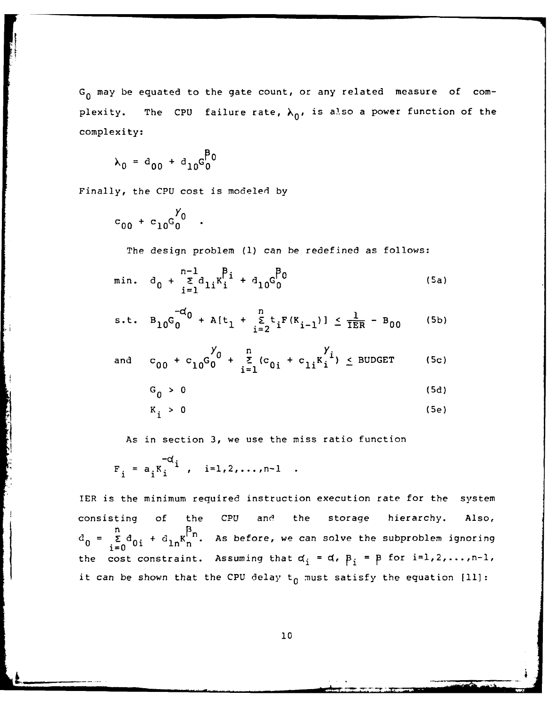G<sub>0</sub> may be equated to the gate count, or any related measure of complexity. The CPU failure rate,  $\lambda_0$ , is also a power function of the complexity:

$$
\lambda_0 = a_{00} + a_{10} G_0^{p_0}
$$

Finally, the CPU cost is modeled by

$$
c_{00} + c_{10}G_0^{\gamma_0} .
$$

The design problem **(1)** can be redefined as follows:

min. 
$$
d_0 + \sum_{i=1}^{n-1} d_{1i} K_i^{\beta_i} + d_{10} G_0^{\beta_0}
$$
 (5a)

s.t. 
$$
B_{10}G_0^{-d} + A[t_1 + \sum_{i=2}^{n} t_i F(K_{i-1})] \le \frac{1}{TER} - B_{00}
$$
 (5b)

and 
$$
c_{00} + c_{10}G_0^{\gamma} + \sum_{i=1}^{n} (c_{0i} + c_{1i}K_i^{\gamma}i) \le BUDGET
$$
 (5c)

$$
G_0 > 0 \tag{5d}
$$

$$
K_{i} > 0
$$
 (5e)

As in section 3, we use the miss ratio function

$$
F_i = a_i K_i^{-d_i}
$$
, i=1,2,...,n-1

IER is the minimum required instruction execution rate for the system consisting of the CPU and the storage hierarchy. Also,  $n \rightarrow P_r$  $d_0 = \sum_{i=1}^{\infty} d_{0i} + d_{1n} K_n^{\square n}$ . As before, we can solve the subproblem ignoring the cost constraint. Assuming that  $\alpha_i = \alpha$ ,  $\beta_i = \beta$  for  $i=1,2,\ldots,n-1$ , it can be shown that the CPU delay  $t_0$  must satisfy the equation  $[11]$ :

**10**

**, ii i ,** - .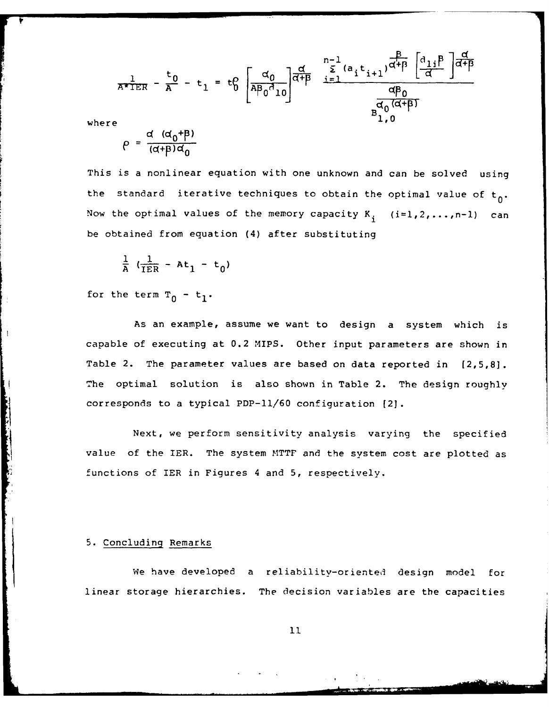$$
\pi^{\frac{1}{\pi}} \mathbb{E} \mathbb{E} - \frac{\mathbf{t}_0}{A} - \mathbf{t}_1 = \mathbf{t}_0^{\alpha} \begin{bmatrix} \frac{\alpha_0}{A\beta_0 \alpha_{10}} \\ \frac{\alpha_0}{A\beta_0 \alpha_{10}} \end{bmatrix} \frac{\frac{\alpha}{\alpha + \beta}}{\frac{\alpha_0}{\alpha + \beta}} \frac{\sum\limits_{i=1}^{n-1} (\mathbf{a}_i \mathbf{t}_{i+1})^{\alpha + \beta} \left[ \frac{\mathbf{a}_{1i} \beta}{\alpha} \right] \frac{\alpha}{\alpha + \beta}}{\frac{\alpha \beta_0}{\beta_{1,0}}} \end{bmatrix}
$$
\nwhere

**Community of the Community of Second Second Second Second Second Second Second Second Second Second Second Second** 

$$
\rho = \frac{d (d_0 + \beta)}{(d + \beta)d_0}
$$

This is a nonlinear equation with one unknown and can be solved using the standard iterative techniques to obtain the optimal value of  $t_0$ . Now the optimal values of the memory capacity  $K_{\frac{1}{2}}$  (i=1,2,...,n-1) can be obtained from equation (4) after substituting

$$
\frac{1}{A} \left( \frac{1}{IER} - At_1 - t_0 \right)
$$

for the term  $T_0 - t_1$ .

As an example, assume we want to design a system which is capable of executing at 0.2 MIPS. Other input parameters are shown in Table 2. The parameter values are based on data reported in [2,5,81. The optimal solution is also shown in Table 2. The design roughly corresponds to a typical PDP-11/60 configuration [2).

Next, we perform sensitivity analysis varying the specified value of the IER. The system MTTF and the system cost are plotted as functions of IER in Figures 4 and 5, respectively.

#### 5. Concluding Remarks

We have developed a reliability-oriented design model for linear storage hierarchies. The decision variables are the capacities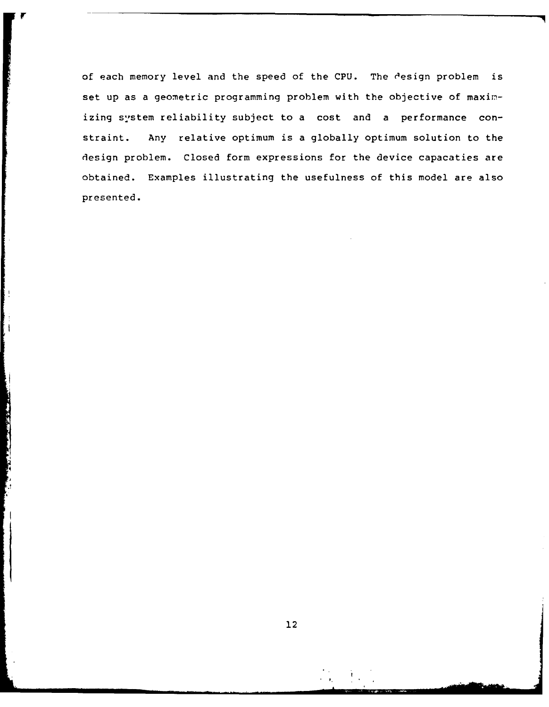of each memory level and the speed of the CPU. The design problem is set up as a geometric programming problem with the objective of maximizing system reliability subject to a cost and a performance constraint. Any relative optimum is a globally optimum solution to the design problem. Closed form expressions for the device capacaties are obtained. Examples illustrating the usefulness of this model are also presented.

**CONTRACTOR**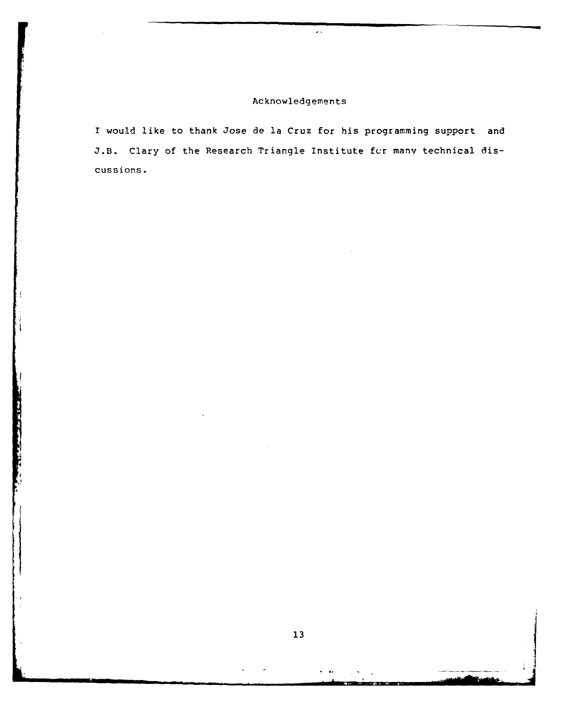# Acknowledgements

 $\sim$  .

**I** would like to thank Jose de la Cruz for his programming support and **J.B.** Clary of the Research Triangle Institute fcr many technical discussions.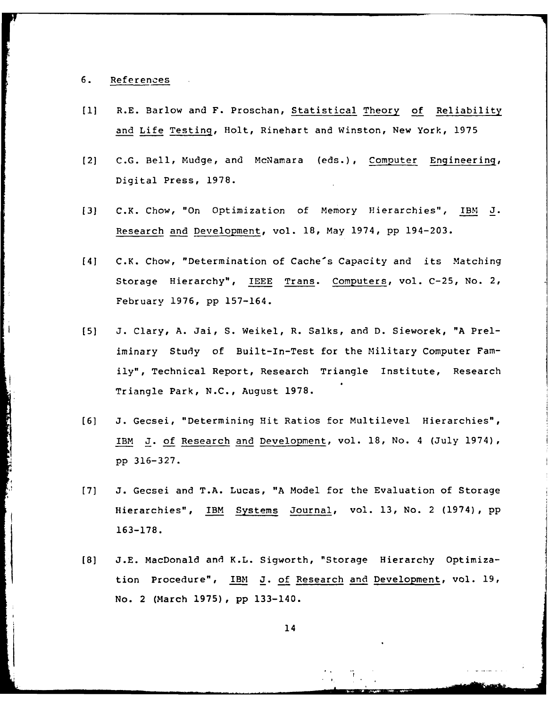### 6. References

- **[I]** R.E. Barlow and F. Proschan, Statistical Theory of Reliability and Life Testing, Holt, Rinehart and Winston, New York, 1975
- [2] C.G. Bell, Mudge, and McNamara (eds.), Computer Engineering, Digital Press, 1978.
- [3] C.K. Chow, "On Optimization of Memory Hierarchies", IBM J. Research and Development, vol. 18, May 1974, pp 194-203.
- [41 C.K. Chow, "Determination of Cache's Capacity and its Matching Storage Hierarchy", IEEE Trans. Computers, vol. C-25, No. 2, February 1976, pp 157-164.
- [5] J. Clary, A. Jai, S. Weikel, R. Salks, and D. Sieworek, "A Preliminary Study of Built-In-Test for the Military Computer Family", Technical Report, Research Triangle Institute, Research Triangle Park, N.C., August 1978.
- [6] J. Gecsei, "Determining Hit Ratios for Multilevel Hierarchies", IBM J. of Research and Development, vol. 18, No. 4 (July 1974), pp 316-327.
- [7] J. Gecsei and T.A. Lucas, "A Model for the Evaluation of Storage Hierarchies", IBM Systems Journal, vol. 13, No. 2 (1974), pp 163-178.
- **[8]** J.E. MacDonald and K.L. Sigworth, "Storage Hierarchy Optimization Procedure", IBM J. of Research and Development, vol. 19, No. 2 (March 1975), pp 133-140.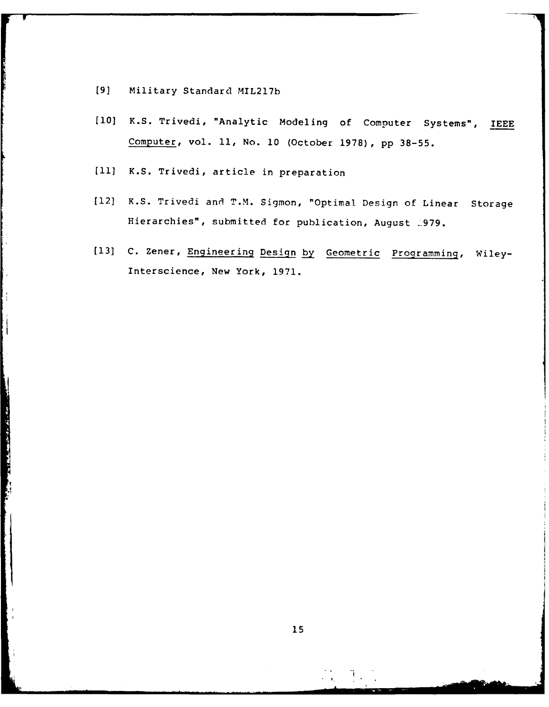[9] Military Standard MIL217b

- **[10]** K.S. Trivedi, "Analytic Modeling of Computer Systems", IEEE Computer, vol. **11,** No. 10 (October 1978), pp 38-55.
- **[11]** K.S. Trivedi, article in preparation
- [12] K.S. Trivedi and T.M. Sigmon, "Optimal Design of Linear Storage Hierarchies", submitted for publication, August \_979.
- [13] C. Zener, Engineering Design by Geometric Programming, Wiley-Interscience, New York, 1971.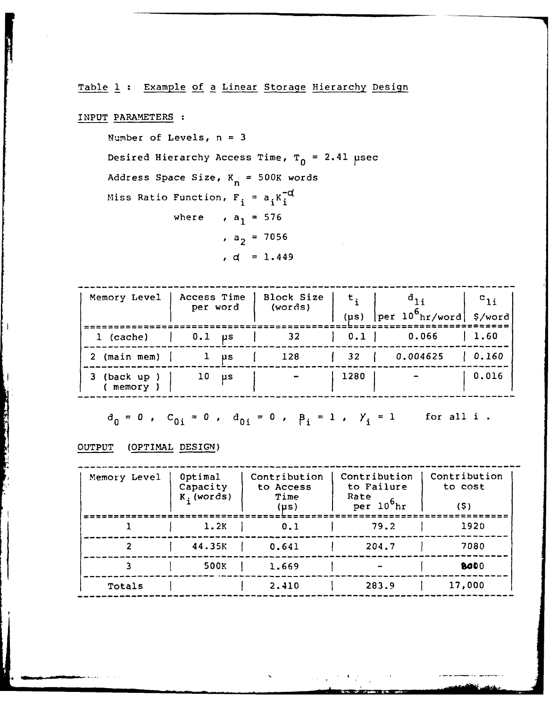# Table 1 Example **of** a Linear Storage Hierarchy Design

# INPUT PARAMETERS :

Number of Levels, n **= 3**

Desired Hierarchy Access Time, T<sub>0</sub> = 2.41 µsec

Address Space Size,  $K_n = 500K$  words

Miss Ratio Function,  $F_i = a_i K_i^{-d}$ where ,  $a_1 = 576$ 

 $a_2 = 7056$ 

$$
d = 1.449
$$

| Memory Level         | Access Time<br>per word | Block Size<br>(words) | $t_{i}$<br>$(\mu s)$ | $a_{1i}$<br>$\vert$ per 10 <sup>6</sup> hr/word \$/word | $c_{1i}$ |
|----------------------|-------------------------|-----------------------|----------------------|---------------------------------------------------------|----------|
| $1$ (cache)          | $0.1$ $\mu s$           | 32                    | $0.1$ 1              | 0.066                                                   | 1.60     |
| 2 (main mem)         | μs                      | 128                   | 32                   | 0.004625                                                | 0.160    |
| (back up )<br>memory | 10<br>μs                |                       | 1280                 |                                                         | 0.016    |

$$
d_0 = 0
$$
,  $C_{0i} = 0$ ,  $d_{0i} = 0$ ,  $p_i = 1$ ,  $Y_i = 1$  for all i.

## **OUTPUT** (OPTIMAL **DESIGN)**

**PERSONAL PROPERTY** 

| Memory Level | Optimal<br>Capacity<br>$Ki$ (words) | Contribution<br>to Access<br>Time<br>(µs) | Contribution<br>to Failure<br>Rate<br>$per 10^6$ hr | Contribution<br>to cost<br>(5) |
|--------------|-------------------------------------|-------------------------------------------|-----------------------------------------------------|--------------------------------|
|              | 1.2K                                | 0.1                                       | 79.2                                                | 1920                           |
| 2            | 44.35K                              | 0.641                                     | 204.7                                               | 7080                           |
| 3            | 500K                                | 1.669                                     |                                                     | 8000                           |
| Totals       |                                     | 2.410                                     | 283.9                                               | 17,000                         |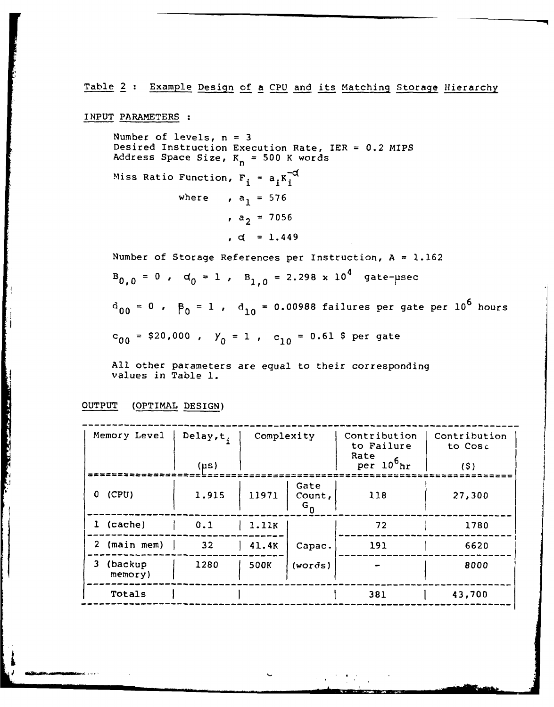Table 2 : Example Design of a CPU and its Matching Storage Hierarchy

INPUT PARAMETERS

Number of levels,  $n = 3$ Desired Instruction Execution Rate, IER = 0.2 MIPS Address Space Size, K<sub>n</sub> = 500 K words Miss Ratio Function,  $F_i = a_i K_i^{-c}$ where ,  $a_1 = 576$ ,  $a_2 = 7056$  $, d = 1.449$ Number of Storage References per Instruction, A = 1.162

 $B_{0,0} = 0$ ,  $d_0 = 1$ ,  $B_{1,0} = 2.298 \times 10^4$  gate-psec

 $d_{00} = 0$ ,  $\beta_0 = 1$ ,  $d_{10} = 0.00988$  failures per gate per  $10^6$  hours

 $C_{00}$  = \$20,000 ,  $Y_0$  = 1 ,  $C_{10}$  = 0.61 \$ per gate

All other parameters are equal to their corresponding values in Table **1.**

OUTPUT (OPTIMAL DESIGN)

|  | Memory Level            | Delay, t.<br>$(\mu s)$ | Complexity |                               | Contribution<br>to Failure<br>Rate<br>$per 10^{6}$ hr | Contribution<br>to Cost<br>(5) |
|--|-------------------------|------------------------|------------|-------------------------------|-------------------------------------------------------|--------------------------------|
|  | (CPU)<br>0              | 1.915                  | 11971      | Gate<br>Count,<br>$G_{\bf 0}$ | 118                                                   | 27,300                         |
|  | 1 (cache)               | 0.1                    | 1.11K      |                               | 72                                                    | 1780                           |
|  | $2 \pmod{m}$            | 32                     | 41.4K      | Capac.                        | 191                                                   | 6620                           |
|  | 3<br>(backup<br>memory) | 1280                   | 500K       | (words)                       |                                                       | 8000                           |
|  | Totals                  |                        |            |                               | 381                                                   | 43,700                         |

**-- - -- --....- -- - -- - -- - -- - -- - -- - -- - -- - -- - -- i-**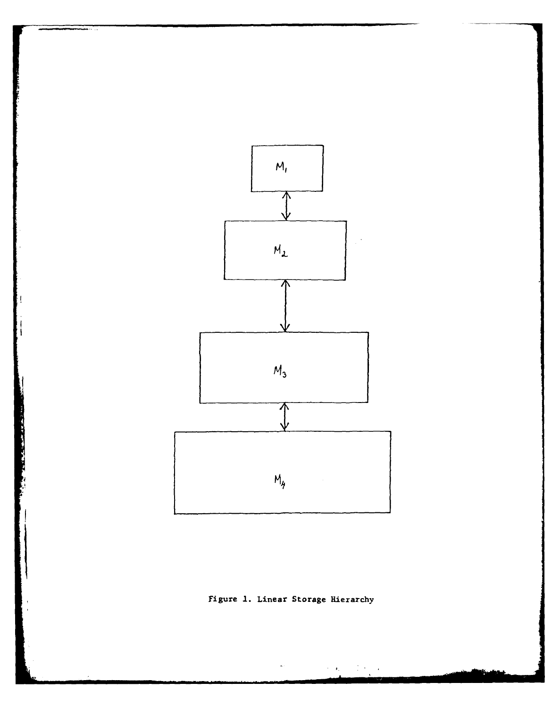

figure **1.** Linear Storage Hierarchy

 $\bullet$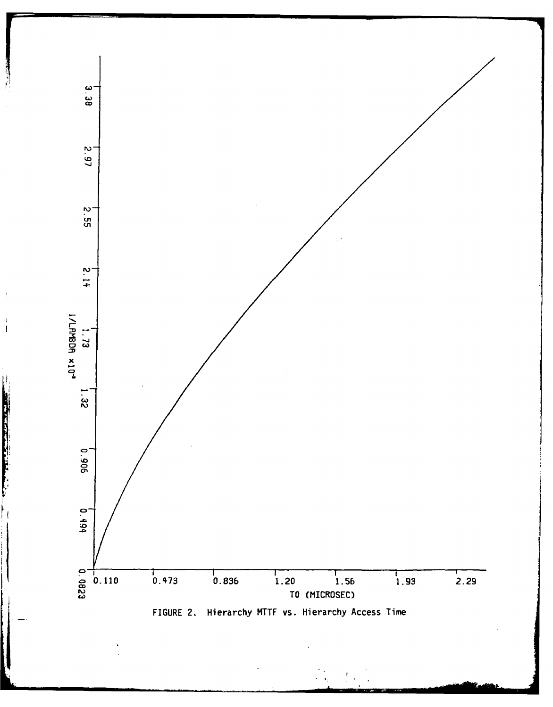

 $\cdot$ 

 $\mathbf{i}$  $\overline{\phantom{a}}$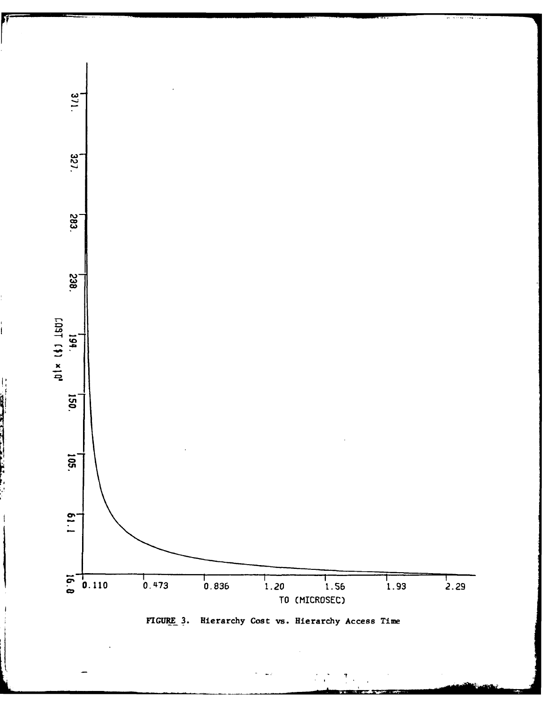

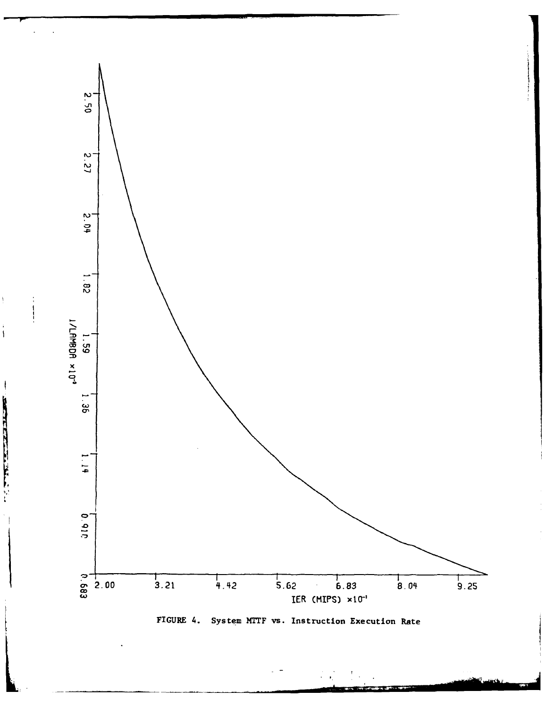

FIGURE 4. System MTTF vs. Instruction Execution Rate

 $\begin{array}{c} \rule{0pt}{2ex} \rule{0pt}{2ex} \rule{0pt}{2ex} \rule{0pt}{2ex} \rule{0pt}{2ex} \rule{0pt}{2ex} \rule{0pt}{2ex} \rule{0pt}{2ex} \rule{0pt}{2ex} \rule{0pt}{2ex} \rule{0pt}{2ex} \rule{0pt}{2ex} \rule{0pt}{2ex} \rule{0pt}{2ex} \rule{0pt}{2ex} \rule{0pt}{2ex} \rule{0pt}{2ex} \rule{0pt}{2ex} \rule{0pt}{2ex} \rule{0pt}{2ex} \rule{0pt}{2ex} \rule{0pt}{2ex} \rule{0pt}{2ex} \rule{0pt}{$ 

 $\bigg)$ 

 $\frac{1}{1}$